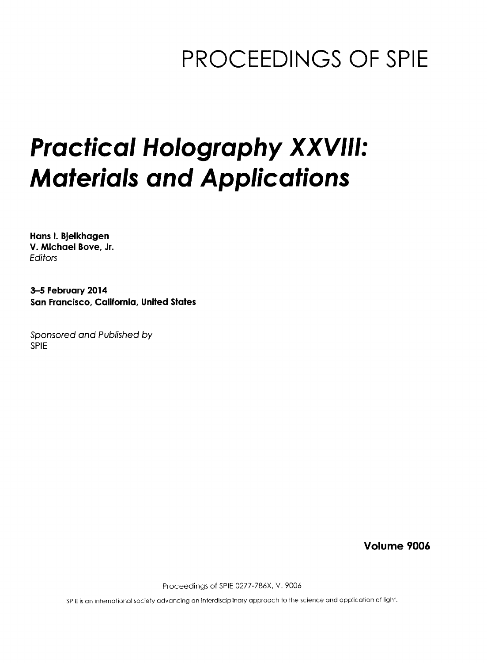## PROCEEDINGS OF SPIE

# Practical Holography XXVIII: Materials and Applications

Hans I. Bjelkhagen V. Michael Bove, Jr. Editors

3-5 February 2014 San Francisco, California, United States

Sponsored and Published by SPIE

Volume 9006

Proceedings of SPIE 0277-786X, V. 9006

SPIE is an international society advancing an interdisciplinary approach to the science and application of light.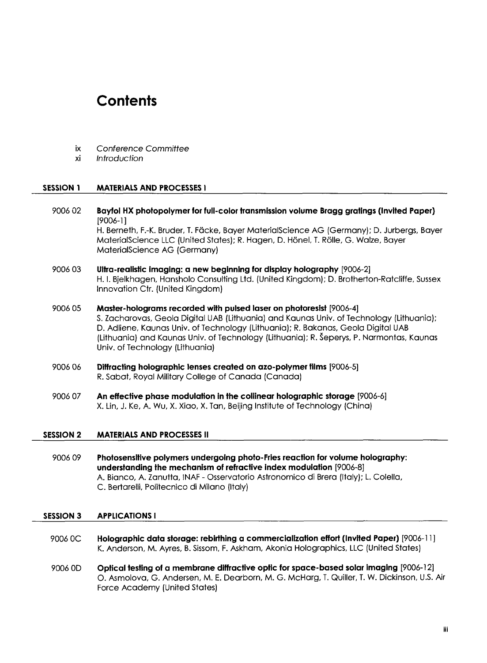### **Contents**

- ix Conference Committee
- xi Introduction

#### SESSION <sup>1</sup> MATERIALS AND PROCESSES <sup>I</sup>

- 9006 02 Bayfol HX photopolymer for full-color transmission volume Bragg gratings (Invited Paper) [9006-1] H. Berneth, F.-K. Bruder, T. Fäcke, Bayer MaterialScience AG (Germany); D. Jurbergs, Bayer MaterialScience LLC (United States); R. Hagen, D. Honel, T. Rolle, G. Walze, Bayer MaterialScience AG (Germany)
- 9006 03 Ultra-realistic imaging: a new beginning for display holography [9006-2] H. I. Bjelkhagen, Hansholo Consulting Ltd. (United Kingdom); D. Brotherton-Ratcliffe, Sussex Innovation Ctr. (United Kingdom)
- 9006 05 Master-holograms recorded with pulsed laser on photoresist [9006-4] S. Zacharovas, Geola Digital UAB (Lithuania) and Kaunas Univ. of Technology (Lithuania); D. Adliene, Kaunas Univ. of Technology (Lithuania); R. Bakanas, Geola Digital UAB (Lithuania) and Kaunas Univ. of Technology (Lithuania); R. Seperys, P. Narmontas, Kaunas Univ. of Technology (Lithuania)
- 9006 06 Diffracting holographic lenses created on azo-polymer films [9006-5] R. Sabat, Royal Military College of Canada (Canada)
- <sup>9006</sup> <sup>07</sup> An effective phase modulation in the collinear holographic storage [9006-6] X. Lin, J. Ke, A. Wu, X. Xiao, X. Tan, Beijing Institute of Technology (China)

#### SESSION <sup>2</sup> MATERIALS AND PROCESSES II

9006 09 Photosensitive polymers undergoing photo-Fries reaction for volume holography: understanding the mechanism of refractive index modulation [9006-8] A. Bianco, A. Zanutta, INAF - Osservatorio Astronomico di Brera (Italy); L. Colella, C. Bertarelli, Politecnico di Milano (Italy)

#### SESSION 3 APPLICATIONS <sup>I</sup>

- 9006 0C Holographic data storage: rebirthing a commercialization effort (Invited Paper) [9006-11 ] K. Anderson, M. Ayres, B. Sissom, F. Askham, Akonia Holographies, LLC (United States)
- <sup>9006</sup> 0D Optical testing of a membrane diffractive optic for space-based solar imaging [9006-12] O. Asmolova, G. Andersen, M. E. Dearborn, M. G. McHarg, T. Quiller, T. W. Dickinson, U.S. Air Force Academy (United States)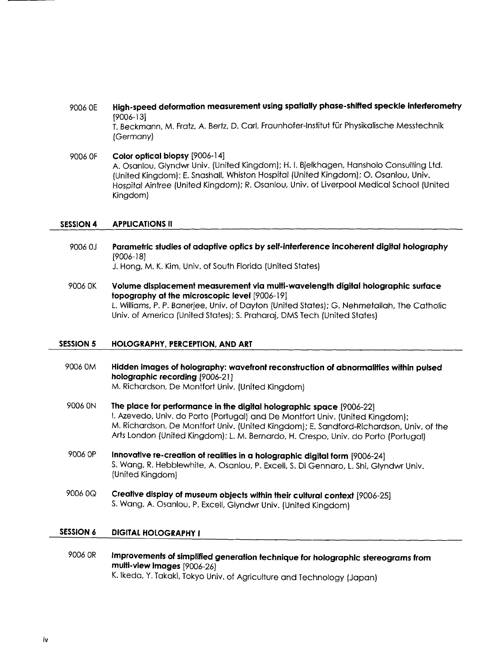#### <sup>9006</sup> 0E High-speed deformation measurement using spatially phase-shifted speckle interferometry [9006-13]

T. Beckmann, M. Fratz, A. Bertz, D. Carl, Fraunhofer-lnstitut fur Physikalische Messtechnik (Germany)

9006 OF Color optical biopsy [9006-14] A. Osanlou, Glyndwr Univ. (United Kingdom); H. I. Bjelkhagen, Hansholo Consulting Ltd. (United Kingdom); E. Snashall, Whiston Hospital (United Kingdom); O. Osanlou, Univ. Hospital Aintree (United Kingdom); R. Osanlou, Univ. of Liverpool Medical School (United Kingdom)

#### SESSION 4 APPLICATIONS II

- 9006 0J Parametric studies of adaptive optics by self-interference incoherent digital holography [9006-18] J. Hong, M. K. Kim, Univ. of South Florida (United States)
- 9006 OK Volume displacement measurement via multi-wavelength digital holographic surface topography at the microscopic level [9006-19] L. Williams, P. P. Banerjee, Univ. of Dayton (United States); G. Nehmetallah, The Catholic Univ. of America (United States); S. Praharaj, DMS Tech (United States)

#### SESSION <sup>5</sup> HOLOGRAPHY, PERCEPTION, AND ART

- <sup>9006</sup> 0M Hidden images of holography: wavefront reconstruction of abnormalities within pulsed holographic recording [9006-21] M. Richardson, De Montfort Univ. (United Kingdom)
- <sup>9006</sup> ON The place for performance in the digital holographic space [9006-22] I. Azevedo, Univ. do Porto (Portugal) and De Montfort Univ. (United Kingdom); M. Richardson, De Montfort Univ. (United Kingdom); E. Sandford-Richardson, Univ. of the Arts London (United Kingdom); L. M. Bernardo, H. Crespo, Univ. do Porto (Portugal)
- <sup>9006</sup> OP Innovative re-creation of realities in a holographic digital form [9006-24] S. Wang, R. Hebblewhite, A. Osanlou, P. Excell, S. Di Gennaro, L. Shi, Glyndwr Univ. (United Kingdom)
- <sup>9006</sup> 0Q Creative display of museum objects within their cultural context [9006-25] S. Wang, A. Osanlou, P. Excell, Glyndwr Univ. (United Kingdom)

#### SESSION <sup>6</sup> DIGITAL HOLOGRAPHY <sup>I</sup>

9006 OR Improvements of simplified generation technique for holographic stereograms from multi-view images [9006-26] K. Ikeda, Y. Takaki, Tokyo Univ. of Agriculture and Technology (Japan)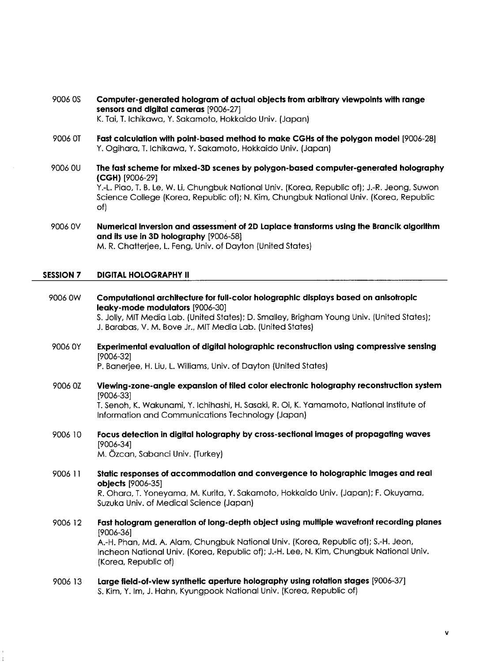- 9006 OS Computer-generated hologram of actual objects from arbitrary viewpoints with range sensors and digital cameras [9006-27] K. Tai, T. Ichikawa, Y. Sakamoto, Hokkaido Univ. (Japan)
- 9006 0T Fast calculation with point-based method to make CGHs of the polygon model [9006-28] Y. Ogihara, T. Ichikawa, Y. Sakamoto, Hokkaido Univ. (Japan)
- 9006 0U The fast scheme for mixed-3D scenes by polygon-based computer-generated holography (CGH) [9006-29] Y.-L. Piao, T. B. Le, W. Li, Chungbuk National Univ. (Korea, Republic of); J.-R. Jeong, Suwon Science College (Korea, Republic of); N. Kim, Chungbuk National Univ. (Korea, Republic of)
- 9006 0V Numerical inversion and assessment of 2D Laplace transforms using the Brancik algorithm and its use in 3D holography [9006-58] M. R. Chatterjee, L. Feng, Univ. of Dayton (United States)

#### SESSION 7 DIGITAL HOLOGRAPHY II

- 9006 0W Computational architecture for full-color holographic displays based on anisotropic leaky-mode modulators [9006-30] S. Jolly, MIT Media Lab. (United States); D. Smalley, Brigham Young Univ. (United States); J. Barabas, V. M. Bove Jr., MIT Media Lab. (United States)
- 9006 0Y Experimental evaluation of digital holographic reconstruction using compressive sensing [9006-32] P. Banerjee, H. Liu, L. Williams, Univ. of Dayton (United States)
- 9006 0Z Viewing-zone-angle expansion of tiled color electronic holography reconstruction system [9006-33]

T. Senoh, K. Wakunami, Y. Ichihashi, H. Sasaki, R. Oi, K. Yamamoto, National Institute of Information and Communications Technology (Japan)

- 9006 10 Focus detection in digital holography by cross-sectional images of propagating waves [9006-34] M. Ozcan, Sabanci Univ. (Turkey)
- 9006 <sup>11</sup> Static responses of accommodation and convergence to holographic images and real objects [9006-35] R. Ohara, T. Yoneyama, M. Kurita, Y. Sakamoto, Hokkaido Univ. (Japan); F. Okuyama, Suzuka Univ. of Medical Science (Japan)
- 9006 <sup>12</sup> Fast hologram generation of long-depth object using multiple wavefront recording planes [9006-36] A.-H. Phan, Md. A. Alam, Chungbuk National Univ. (Korea, Republic of); S.-H. Jeon, Incheon National Univ. (Korea, Republic of); J.-H. Lee, N. Kim, Chungbuk National Univ. (Korea, Republic of)
- 9006 13 Large field-of-view synthetic aperture holography using rotation stages [9006-37] S. Kim, Y. Im, J. Hahn, Kyungpook National Univ. (Korea, Republic of)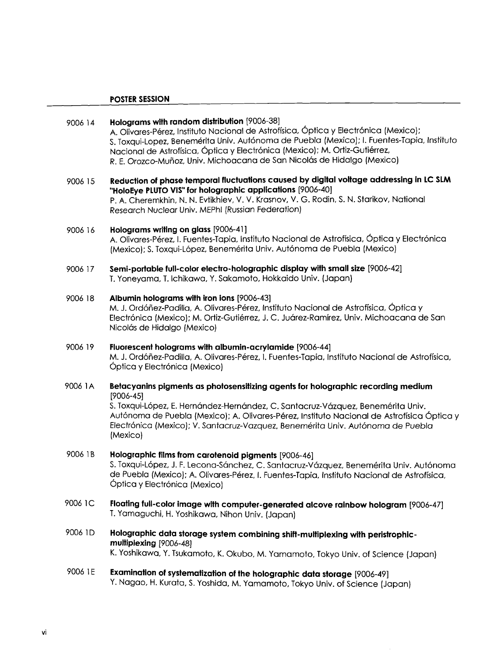#### POSTER SESSION

#### 9006 14 Holograms with random distribution [9006-38] A. Olivares-Pérez, Instituto Nacional de Astrofísica, Óptica y Electrónica (Mexico); S. Toxqui-Lopez, Benemerita Univ. Autonoma de Pueblo (Mexico); I. Fuentes-Tapia, Instituto Nacional de Astrofísica, Óptica y Electrónica (Mexico); M. Ortiz-Gutiérrez, R. E. Orozco-Munoz, Univ. Michoacana de San Nicolas de Hidalgo (Mexico)

<sup>9006</sup> <sup>15</sup> Reduction of phase temporal fluctuations caused by digital voltage addressing in LC SLM "HoloEye PLUTO VIS" for holographic applications [9006-40] P. A. Cheremkhin, N. N. Evtikhiev, V. V. Krasnov, V. G. Rodin, S. N. Starikov, National Research Nuclear Univ. MEPhl (Russian Federation)

#### 9006 <sup>16</sup> Holograms writing on glass [9006-41 ] A. Olivares-Perez, I. Fuentes-Tapia, Instituto Nacional de Astroffsica, 6ptica y Electronica (Mexico): S. Toxqui-López, Benemérita Univ. Autónoma de Puebla (Mexico)

9006 17 Semi-portable full-color electro-holographic display with small size [9006-42] T. Yoneyama, T. Ichikawa, Y. Sakamoto, Hokkaido Univ. (Japan)

#### 9006 <sup>18</sup> Albumin holograms with iron ions [9006-43]

M. J. Ordóñez-Padilla, A. Olivares-Pérez, Instituto Nacional de Astrofísica, Óptica y Electrónica (Mexico); M. Ortiz-Gutiérrez, J. C. Juárez-Ramírez, Univ. Michoacana de San Nicolás de Hidalgo (Mexico)

- 9006 <sup>19</sup> Fluorescent holograms with albumin-acrylamide [9006-44] M. J. Ordonez-Padilla, A. Olivares-Perez, I. Fuentes-Tapia, Instituto Nacional de Astroffsica, Óptica y Electrónica (Mexico)
- 9006 1A Betacyanins pigments as photosensitizing agents for holographic recording medium [9006-45] S. Toxqui-López, E. Hernández-Hernández, C. Santacruz-Vázquez, Benemérita Univ. Autónoma de Puebla (Mexico); A. Olivares-Pérez, Instituto Nacional de Astrofísica Óptica y Electronica (Mexico); V. Santacruz-Vazquez, Benemerita Univ. Autonoma de Puebla (Mexico)
- 9006 1B Holographic films from carotenoid pigments [9006-46] S. Toxqui-López, J. F. Lecona-Sánchez, C. Santacruz-Vázquez, Benemérita Univ. Autónoma de Puebla (Mexico); A. Olivares-Perez, I. Fuentes-Tapia, Instituto Nacional de Astroffsica, Óptica y Electrónica (Mexico)
- 9006 1C Floating full-color image with computer-generated alcove rainbow hologram [9006-47] T. Yamaguchi, H. Yoshikawa, Nihon Univ. (Japan)
- 9006 1D Holographic data storage system combining shift-multiplexing with peristrophicmultiplexing [9006-48] K. Yoshikawa, Y. Tsukamoto, K. Okubo, M. Yamamoto, Tokyo Univ. of Science (Japan)
- <sup>9006</sup> 1E Examination of systematization of the holographic data storage [9006-49] Y. Nagao, H. Kurata, S. Yoshida, M. Yamamoto, Tokyo Univ. of Science (Japan)